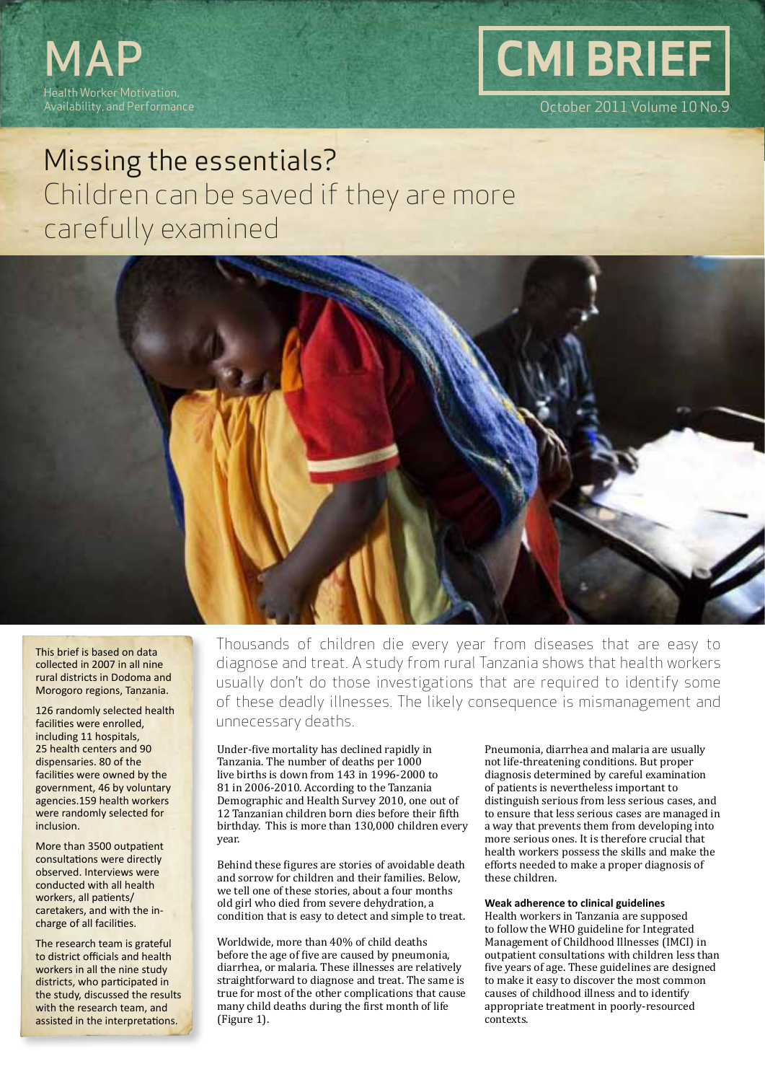



# Missing the essentials? Children can be saved if they are more carefully examined



This brief is based on data collected in 2007 in all nine rural districts in Dodoma and Morogoro regions, Tanzania.

126 randomly selected health facilities were enrolled, including 11 hospitals, 25 health centers and 90 dispensaries. 80 of the facilities were owned by the government, 46 by voluntary agencies.159 health workers were randomly selected for inclusion.

More than 3500 outpatient consultations were directly observed. Interviews were conducted with all health workers, all patients/ caretakers, and with the incharge of all facilities.

The research team is grateful to district officials and health workers in all the nine study districts, who participated in the study, discussed the results with the research team, and assisted in the interpretations.

Thousands of children die every year from diseases that are easy to diagnose and treat. A study from rural Tanzania shows that health workers usually don't do those investigations that are required to identify some of these deadly illnesses. The likely consequence is mismanagement and unnecessary deaths.

Under-five mortality has declined rapidly in Tanzania. The number of deaths per 1000 live births is down from 143 in 1996-2000 to 81 in 2006-2010. According to the Tanzania Demographic and Health Survey 2010, one out of 12 Tanzanian children born dies before their fifth birthday. This is more than 130,000 children every year.

Behind these figures are stories of avoidable death and sorrow for children and their families. Below, we tell one of these stories, about a four months old girl who died from severe dehydration, a condition that is easy to detect and simple to treat.

Worldwide, more than 40% of child deaths before the age of five are caused by pneumonia, diarrhea, or malaria. These illnesses are relatively straightforward to diagnose and treat. The same is true for most of the other complications that cause many child deaths during the first month of life (Figure 1).

Pneumonia, diarrhea and malaria are usually not life-threatening conditions. But proper diagnosis determined by careful examination of patients is nevertheless important to distinguish serious from less serious cases, and to ensure that less serious cases are managed in a way that prevents them from developing into more serious ones. It is therefore crucial that health workers possess the skills and make the efforts needed to make a proper diagnosis of these children.

### **Weak adherence to clinical guidelines**

Health workers in Tanzania are supposed to follow the WHO guideline for Integrated Management of Childhood Illnesses (IMCI) in outpatient consultations with children less than five years of age. These guidelines are designed to make it easy to discover the most common causes of childhood illness and to identify appropriate treatment in poorly-resourced contexts.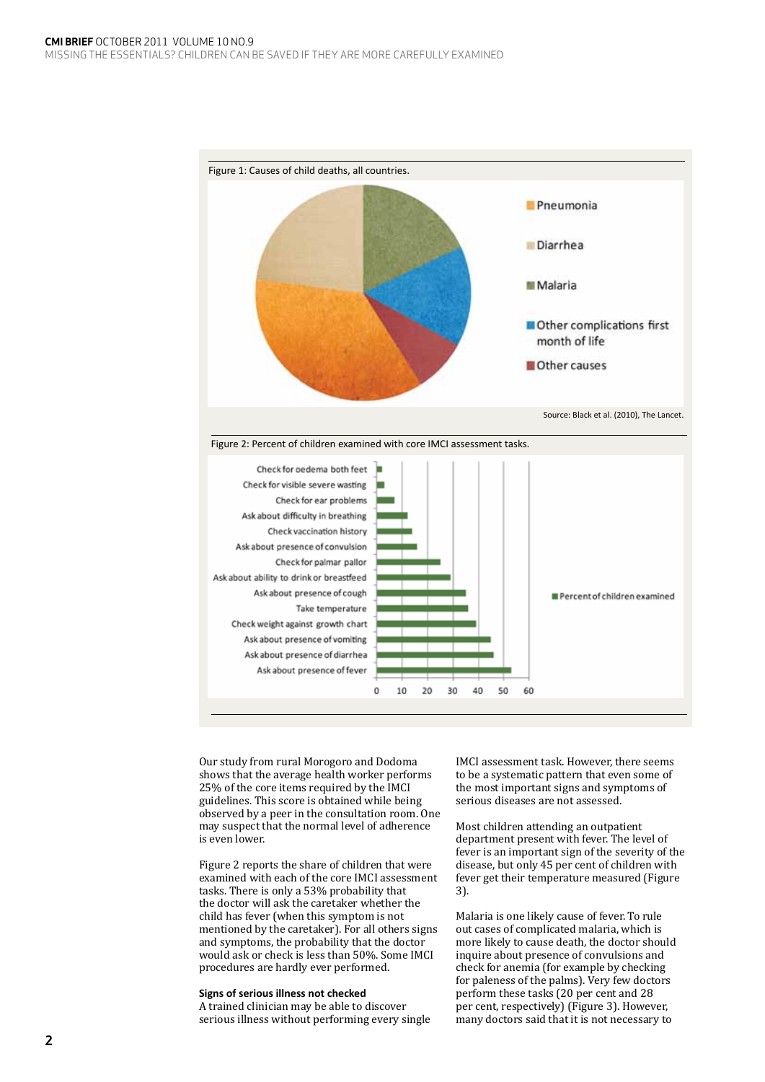





Our study from rural Morogoro and Dodoma shows that the average health worker performs 25% of the core items required by the IMCI guidelines. This score is obtained while being observed by a peer in the consultation room. One may suspect that the normal level of adherence is even lower.

Figure 2 reports the share of children that were examined with each of the core IMCI assessment tasks. There is only a 53% probability that the doctor will ask the caretaker whether the child has fever (when this symptom is not mentioned by the caretaker). For all others signs and symptoms, the probability that the doctor would ask or check is less than 50%. Some IMCI procedures are hardly ever performed.

## **Signs of serious illness not checked**

A trained clinician may be able to discover serious illness without performing every single IMCI assessment task. However, there seems to be a systematic pattern that even some of the most important signs and symptoms of serious diseases are not assessed.

Most children attending an outpatient department present with fever. The level of fever is an important sign of the severity of the disease, but only 45 per cent of children with fever get their temperature measured (Figure 3).

Malaria is one likely cause of fever. To rule out cases of complicated malaria, which is more likely to cause death, the doctor should inquire about presence of convulsions and check for anemia (for example by checking for paleness of the palms). Very few doctors perform these tasks (20 per cent and 28 per cent, respectively) (Figure 3). However, many doctors said that it is not necessary to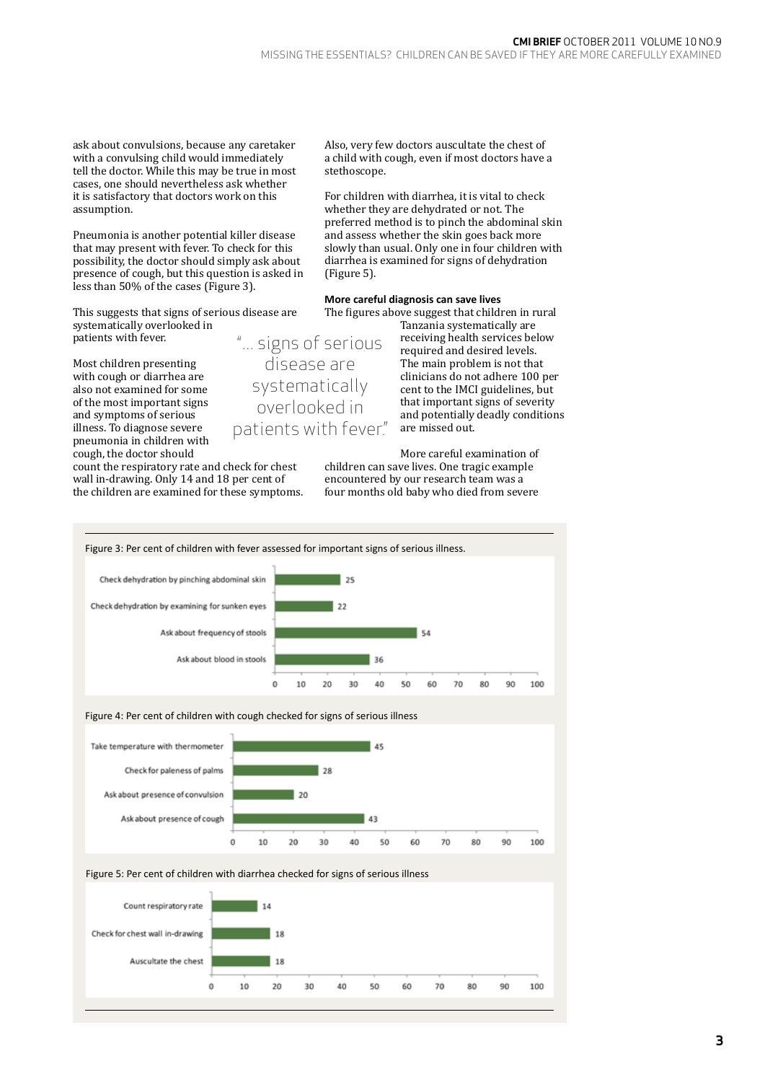ask about convulsions, because any caretaker with a convulsing child would immediately tell the doctor. While this may be true in most cases, one should nevertheless ask whether it is satisfactory that doctors work on this assumption.

Pneumonia is another potential killer disease that may present with fever. To check for this possibility, the doctor should simply ask about presence of cough, but this question is asked in less than 50% of the cases (Figure 3).

This suggests that signs of serious disease are systematically overlooked in patients with fever. "... signs of serious

Most children presenting with cough or diarrhea are also not examined for some of the most important signs and symptoms of serious illness. To diagnose severe pneumonia in children with cough, the doctor should

count the respiratory rate and check for chest wall in-drawing. Only 14 and 18 per cent of the children are examined for these symptoms. Also, very few doctors auscultate the chest of a child with cough, even if most doctors have a stethoscope.

For children with diarrhea, it is vital to check whether they are dehydrated or not. The preferred method is to pinch the abdominal skin and assess whether the skin goes back more slowly than usual. Only one in four children with diarrhea is examined for signs of dehydration (Figure 5).

**More careful diagnosis can save lives** The figures above suggest that children in rural

Tanzania systematically are receiving health services below required and desired levels. The main problem is not that clinicians do not adhere 100 per cent to the IMCI guidelines, but that important signs of severity and potentially deadly conditions are missed out.

More careful examination of children can save lives. One tragic example encountered by our research team was a four months old baby who died from severe



disease are systematically overlooked in patients with fever."

## **3**